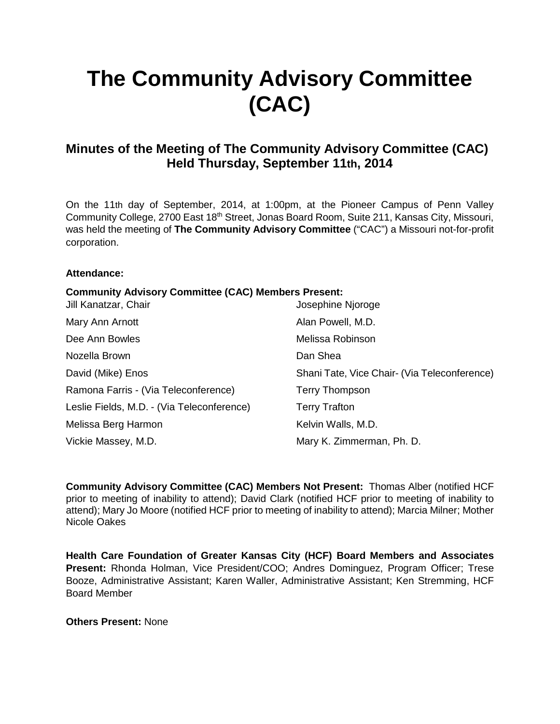# **The Community Advisory Committee (CAC)**

## **Minutes of the Meeting of The Community Advisory Committee (CAC) Held Thursday, September 11th, 2014**

On the 11th day of September, 2014, at 1:00pm, at the Pioneer Campus of Penn Valley Community College, 2700 East 18<sup>th</sup> Street, Jonas Board Room, Suite 211, Kansas City, Missouri, was held the meeting of **The Community Advisory Committee** ("CAC") a Missouri not-for-profit corporation.

#### **Attendance:**

## **Community Advisory Committee (CAC) Members Present:**

| Jill Kanatzar, Chair                       | Josephine Njoroge                            |
|--------------------------------------------|----------------------------------------------|
| Mary Ann Arnott                            | Alan Powell, M.D.                            |
| Dee Ann Bowles                             | Melissa Robinson                             |
| Nozella Brown                              | Dan Shea                                     |
| David (Mike) Enos                          | Shani Tate, Vice Chair- (Via Teleconference) |
| Ramona Farris - (Via Teleconference)       | <b>Terry Thompson</b>                        |
| Leslie Fields, M.D. - (Via Teleconference) | <b>Terry Trafton</b>                         |
| Melissa Berg Harmon                        | Kelvin Walls, M.D.                           |
| Vickie Massey, M.D.                        | Mary K. Zimmerman, Ph. D.                    |

**Community Advisory Committee (CAC) Members Not Present:** Thomas Alber (notified HCF prior to meeting of inability to attend); David Clark (notified HCF prior to meeting of inability to attend); Mary Jo Moore (notified HCF prior to meeting of inability to attend); Marcia Milner; Mother Nicole Oakes

**Health Care Foundation of Greater Kansas City (HCF) Board Members and Associates Present:** Rhonda Holman, Vice President/COO; Andres Dominguez, Program Officer; Trese Booze, Administrative Assistant; Karen Waller, Administrative Assistant; Ken Stremming, HCF Board Member

**Others Present:** None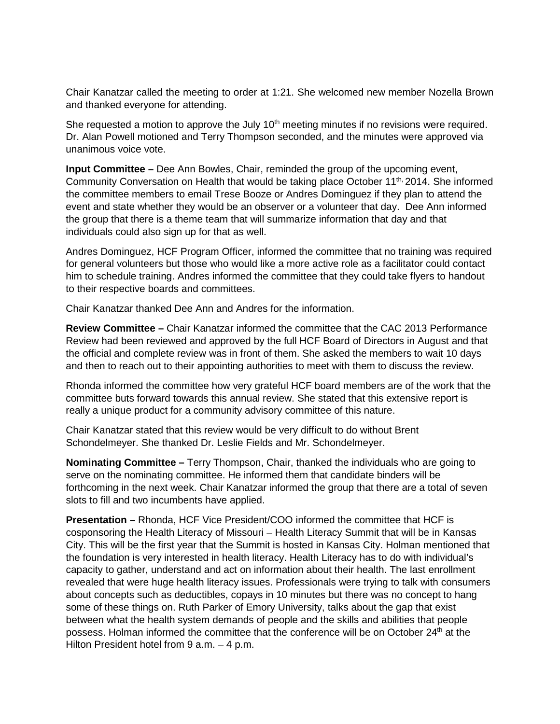Chair Kanatzar called the meeting to order at 1:21. She welcomed new member Nozella Brown and thanked everyone for attending.

She requested a motion to approve the July  $10<sup>th</sup>$  meeting minutes if no revisions were required. Dr. Alan Powell motioned and Terry Thompson seconded, and the minutes were approved via unanimous voice vote.

**Input Committee –** Dee Ann Bowles, Chair, reminded the group of the upcoming event, Community Conversation on Health that would be taking place October  $11^{th}$ , 2014. She informed the committee members to email Trese Booze or Andres Dominguez if they plan to attend the event and state whether they would be an observer or a volunteer that day. Dee Ann informed the group that there is a theme team that will summarize information that day and that individuals could also sign up for that as well.

Andres Dominguez, HCF Program Officer, informed the committee that no training was required for general volunteers but those who would like a more active role as a facilitator could contact him to schedule training. Andres informed the committee that they could take flyers to handout to their respective boards and committees.

Chair Kanatzar thanked Dee Ann and Andres for the information.

**Review Committee –** Chair Kanatzar informed the committee that the CAC 2013 Performance Review had been reviewed and approved by the full HCF Board of Directors in August and that the official and complete review was in front of them. She asked the members to wait 10 days and then to reach out to their appointing authorities to meet with them to discuss the review.

Rhonda informed the committee how very grateful HCF board members are of the work that the committee buts forward towards this annual review. She stated that this extensive report is really a unique product for a community advisory committee of this nature.

Chair Kanatzar stated that this review would be very difficult to do without Brent Schondelmeyer. She thanked Dr. Leslie Fields and Mr. Schondelmeyer.

**Nominating Committee –** Terry Thompson, Chair, thanked the individuals who are going to serve on the nominating committee. He informed them that candidate binders will be forthcoming in the next week. Chair Kanatzar informed the group that there are a total of seven slots to fill and two incumbents have applied.

**Presentation –** Rhonda, HCF Vice President/COO informed the committee that HCF is cosponsoring the Health Literacy of Missouri – Health Literacy Summit that will be in Kansas City. This will be the first year that the Summit is hosted in Kansas City. Holman mentioned that the foundation is very interested in health literacy. Health Literacy has to do with individual's capacity to gather, understand and act on information about their health. The last enrollment revealed that were huge health literacy issues. Professionals were trying to talk with consumers about concepts such as deductibles, copays in 10 minutes but there was no concept to hang some of these things on. Ruth Parker of Emory University, talks about the gap that exist between what the health system demands of people and the skills and abilities that people possess. Holman informed the committee that the conference will be on October 24th at the Hilton President hotel from 9 a.m. - 4 p.m.